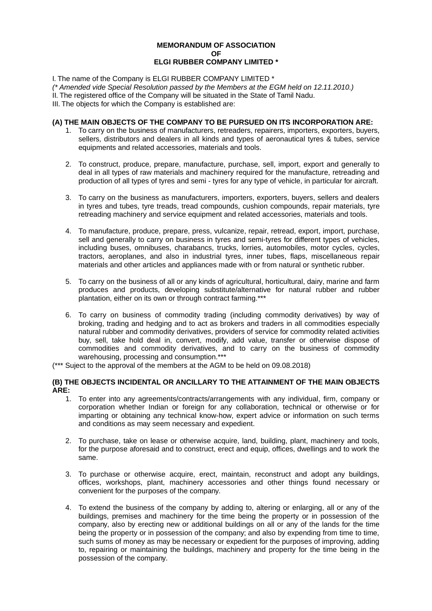## **MEMORANDUM OF ASSOCIATION OF ELGI RUBBER COMPANY LIMITED \***

I. The name of the Company is ELGI RUBBER COMPANY LIMITED \*

(\* Amended vide Special Resolution passed by the Members at the EGM held on 12.11.2010.)

II. The registered office of the Company will be situated in the State of Tamil Nadu.

III. The objects for which the Company is established are:

## **(A) THE MAIN OBJECTS OF THE COMPANY TO BE PURSUED ON ITS INCORPORATION ARE:**

- 1. To carry on the business of manufacturers, retreaders, repairers, importers, exporters, buyers, sellers, distributors and dealers in all kinds and types of aeronautical tyres & tubes, service equipments and related accessories, materials and tools.
- 2. To construct, produce, prepare, manufacture, purchase, sell, import, export and generally to deal in all types of raw materials and machinery required for the manufacture, retreading and production of all types of tyres and semi - tyres for any type of vehicle, in particular for aircraft.
- 3. To carry on the business as manufacturers, importers, exporters, buyers, sellers and dealers in tyres and tubes, tyre treads, tread compounds, cushion compounds, repair materials, tyre retreading machinery and service equipment and related accessories, materials and tools.
- 4. To manufacture, produce, prepare, press, vulcanize, repair, retread, export, import, purchase, sell and generally to carry on business in tyres and semi-tyres for different types of vehicles, including buses, omnibuses, charabancs, trucks, lorries, automobiles, motor cycles, cycles, tractors, aeroplanes, and also in industrial tyres, inner tubes, flaps, miscellaneous repair materials and other articles and appliances made with or from natural or synthetic rubber.
- 5. To carry on the business of all or any kinds of agricultural, horticultural, dairy, marine and farm produces and products, developing substitute/alternative for natural rubber and rubber plantation, either on its own or through contract farming.\*\*\*
- 6. To carry on business of commodity trading (including commodity derivatives) by way of broking, trading and hedging and to act as brokers and traders in all commodities especially natural rubber and commodity derivatives, providers of service for commodity related activities buy, sell, take hold deal in, convert, modify, add value, transfer or otherwise dispose of commodities and commodity derivatives, and to carry on the business of commodity warehousing, processing and consumption.\*\*\*
- (\*\*\* Suject to the approval of the members at the AGM to be held on 09.08.2018)

## **(B) THE OBJECTS INCIDENTAL OR ANCILLARY TO THE ATTAINMENT OF THE MAIN OBJECTS ARE:**

- 1. To enter into any agreements/contracts/arrangements with any individual, firm, company or corporation whether Indian or foreign for any collaboration, technical or otherwise or for imparting or obtaining any technical know-how, expert advice or information on such terms and conditions as may seem necessary and expedient.
- 2. To purchase, take on lease or otherwise acquire, land, building, plant, machinery and tools, for the purpose aforesaid and to construct, erect and equip, offices, dwellings and to work the same.
- 3. To purchase or otherwise acquire, erect, maintain, reconstruct and adopt any buildings, offices, workshops, plant, machinery accessories and other things found necessary or convenient for the purposes of the company.
- 4. To extend the business of the company by adding to, altering or enlarging, all or any of the buildings, premises and machinery for the time being the property or in possession of the company, also by erecting new or additional buildings on all or any of the lands for the time being the property or in possession of the company; and also by expending from time to time, such sums of money as may be necessary or expedient for the purposes of improving, adding to, repairing or maintaining the buildings, machinery and property for the time being in the possession of the company.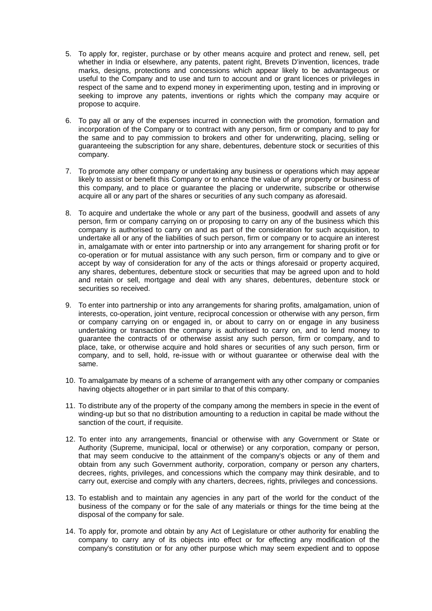- 5. To apply for, register, purchase or by other means acquire and protect and renew, sell, pet whether in India or elsewhere, any patents, patent right, Brevets D'invention, licences, trade marks, designs, protections and concessions which appear likely to be advantageous or useful to the Company and to use and turn to account and or grant licences or privileges in respect of the same and to expend money in experimenting upon, testing and in improving or seeking to improve any patents, inventions or rights which the company may acquire or propose to acquire.
- 6. To pay all or any of the expenses incurred in connection with the promotion, formation and incorporation of the Company or to contract with any person, firm or company and to pay for the same and to pay commission to brokers and other for underwriting, placing, selling or guaranteeing the subscription for any share, debentures, debenture stock or securities of this company.
- 7. To promote any other company or undertaking any business or operations which may appear likely to assist or benefit this Company or to enhance the value of any property or business of this company, and to place or guarantee the placing or underwrite, subscribe or otherwise acquire all or any part of the shares or securities of any such company as aforesaid.
- 8. To acquire and undertake the whole or any part of the business, goodwill and assets of any person, firm or company carrying on or proposing to carry on any of the business which this company is authorised to carry on and as part of the consideration for such acquisition, to undertake all or any of the liabilities of such person, firm or company or to acquire an interest in, amalgamate with or enter into partnership or into any arrangement for sharing profit or for co-operation or for mutual assistance with any such person, firm or company and to give or accept by way of consideration for any of the acts or things aforesaid or property acquired, any shares, debentures, debenture stock or securities that may be agreed upon and to hold and retain or sell, mortgage and deal with any shares, debentures, debenture stock or securities so received.
- 9. To enter into partnership or into any arrangements for sharing profits, amalgamation, union of interests, co-operation, joint venture, reciprocal concession or otherwise with any person, firm or company carrying on or engaged in, or about to carry on or engage in any business undertaking or transaction the company is authorised to carry on, and to lend money to guarantee the contracts of or otherwise assist any such person, firm or company, and to place, take, or otherwise acquire and hold shares or securities of any such person, firm or company, and to sell, hold, re-issue with or without guarantee or otherwise deal with the same.
- 10. To amalgamate by means of a scheme of arrangement with any other company or companies having objects altogether or in part similar to that of this company.
- 11. To distribute any of the property of the company among the members in specie in the event of winding-up but so that no distribution amounting to a reduction in capital be made without the sanction of the court, if requisite.
- 12. To enter into any arrangements, financial or otherwise with any Government or State or Authority (Supreme, municipal, local or otherwise) or any corporation, company or person, that may seem conducive to the attainment of the company's objects or any of them and obtain from any such Government authority, corporation, company or person any charters, decrees, rights, privileges, and concessions which the company may think desirable, and to carry out, exercise and comply with any charters, decrees, rights, privileges and concessions.
- 13. To establish and to maintain any agencies in any part of the world for the conduct of the business of the company or for the sale of any materials or things for the time being at the disposal of the company for sale.
- 14. To apply for, promote and obtain by any Act of Legislature or other authority for enabling the company to carry any of its objects into effect or for effecting any modification of the company's constitution or for any other purpose which may seem expedient and to oppose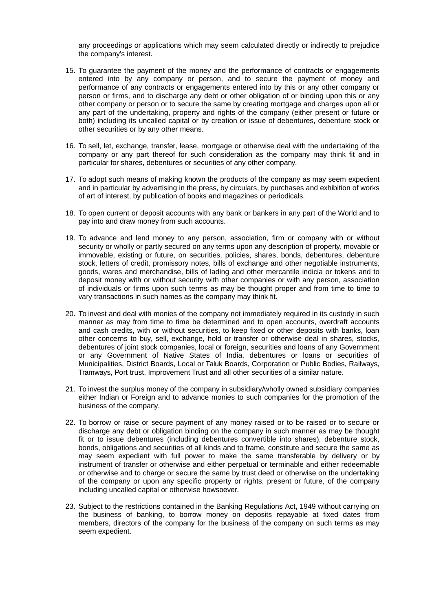any proceedings or applications which may seem calculated directly or indirectly to prejudice the company's interest.

- 15. To guarantee the payment of the money and the performance of contracts or engagements entered into by any company or person, and to secure the payment of money and performance of any contracts or engagements entered into by this or any other company or person or firms, and to discharge any debt or other obligation of or binding upon this or any other company or person or to secure the same by creating mortgage and charges upon all or any part of the undertaking, property and rights of the company (either present or future or both) including its uncalled capital or by creation or issue of debentures, debenture stock or other securities or by any other means.
- 16. To sell, let, exchange, transfer, lease, mortgage or otherwise deal with the undertaking of the company or any part thereof for such consideration as the company may think fit and in particular for shares, debentures or securities of any other company.
- 17. To adopt such means of making known the products of the company as may seem expedient and in particular by advertising in the press, by circulars, by purchases and exhibition of works of art of interest, by publication of books and magazines or periodicals.
- 18. To open current or deposit accounts with any bank or bankers in any part of the World and to pay into and draw money from such accounts.
- 19. To advance and lend money to any person, association, firm or company with or without security or wholly or partly secured on any terms upon any description of property, movable or immovable, existing or future, on securities, policies, shares, bonds, debentures, debenture stock, letters of credit, promissory notes, bills of exchange and other negotiable instruments, goods, wares and merchandise, bills of lading and other mercantile indicia or tokens and to deposit money with or without security with other companies or with any person, association of individuals or firms upon such terms as may be thought proper and from time to time to vary transactions in such names as the company may think fit.
- 20. To invest and deal with monies of the company not immediately required in its custody in such manner as may from time to time be determined and to open accounts, overdraft accounts and cash credits, with or without securities, to keep fixed or other deposits with banks, loan other concerns to buy, sell, exchange, hold or transfer or otherwise deal in shares, stocks, debentures of joint stock companies, local or foreign, securities and loans of any Government or any Government of Native States of India, debentures or loans or securities of Municipalities, District Boards, Local or Taluk Boards, Corporation or Public Bodies, Railways, Tramways, Port trust, Improvement Trust and all other securities of a similar nature.
- 21. To invest the surplus money of the company in subsidiary/wholly owned subsidiary companies either Indian or Foreign and to advance monies to such companies for the promotion of the business of the company.
- 22. To borrow or raise or secure payment of any money raised or to be raised or to secure or discharge any debt or obligation binding on the company in such manner as may be thought fit or to issue debentures (including debentures convertible into shares), debenture stock, bonds, obligations and securities of all kinds and to frame, constitute and secure the same as may seem expedient with full power to make the same transferable by delivery or by instrument of transfer or otherwise and either perpetual or terminable and either redeemable or otherwise and to charge or secure the same by trust deed or otherwise on the undertaking of the company or upon any specific property or rights, present or future, of the company including uncalled capital or otherwise howsoever.
- 23. Subject to the restrictions contained in the Banking Regulations Act, 1949 without carrying on the business of banking, to borrow money on deposits repayable at fixed dates from members, directors of the company for the business of the company on such terms as may seem expedient.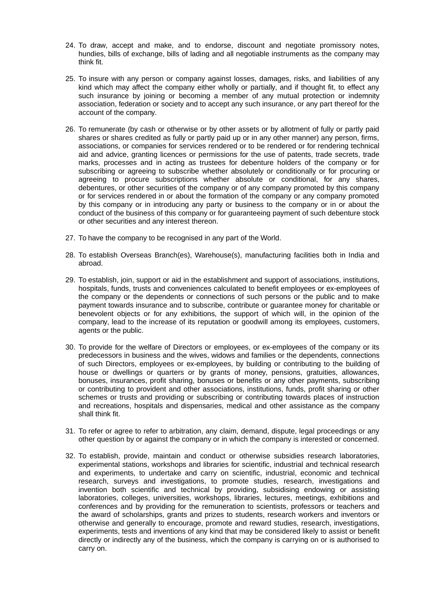- 24. To draw, accept and make, and to endorse, discount and negotiate promissory notes, hundies, bills of exchange, bills of lading and all negotiable instruments as the company may think fit.
- 25. To insure with any person or company against losses, damages, risks, and liabilities of any kind which may affect the company either wholly or partially, and if thought fit, to effect any such insurance by joining or becoming a member of any mutual protection or indemnity association, federation or society and to accept any such insurance, or any part thereof for the account of the company.
- 26. To remunerate (by cash or otherwise or by other assets or by allotment of fully or partly paid shares or shares credited as fully or partly paid up or in any other manner) any person, firms, associations, or companies for services rendered or to be rendered or for rendering technical aid and advice, granting licences or permissions for the use of patents, trade secrets, trade marks, processes and in acting as trustees for debenture holders of the company or for subscribing or agreeing to subscribe whether absolutely or conditionally or for procuring or agreeing to procure subscriptions whether absolute or conditional, for any shares, debentures, or other securities of the company or of any company promoted by this company or for services rendered in or about the formation of the company or any company promoted by this company or in introducing any party or business to the company or in or about the conduct of the business of this company or for guaranteeing payment of such debenture stock or other securities and any interest thereon.
- 27. To have the company to be recognised in any part of the World.
- 28. To establish Overseas Branch(es), Warehouse(s), manufacturing facilities both in India and abroad.
- 29. To establish, join, support or aid in the establishment and support of associations, institutions, hospitals, funds, trusts and conveniences calculated to benefit employees or ex-employees of the company or the dependents or connections of such persons or the public and to make payment towards insurance and to subscribe, contribute or guarantee money for charitable or benevolent objects or for any exhibitions, the support of which will, in the opinion of the company, lead to the increase of its reputation or goodwill among its employees, customers, agents or the public.
- 30. To provide for the welfare of Directors or employees, or ex-employees of the company or its predecessors in business and the wives, widows and families or the dependents, connections of such Directors, employees or ex-employees, by building or contributing to the building of house or dwellings or quarters or by grants of money, pensions, gratuities, allowances, bonuses, insurances, profit sharing, bonuses or benefits or any other payments, subscribing or contributing to provident and other associations, institutions, funds, profit sharing or other schemes or trusts and providing or subscribing or contributing towards places of instruction and recreations, hospitals and dispensaries, medical and other assistance as the company shall think fit.
- 31. To refer or agree to refer to arbitration, any claim, demand, dispute, legal proceedings or any other question by or against the company or in which the company is interested or concerned.
- 32. To establish, provide, maintain and conduct or otherwise subsidies research laboratories, experimental stations, workshops and libraries for scientific, industrial and technical research and experiments, to undertake and carry on scientific, industrial, economic and technical research, surveys and investigations, to promote studies, research, investigations and invention both scientific and technical by providing, subsidising endowing or assisting laboratories, colleges, universities, workshops, libraries, lectures, meetings, exhibitions and conferences and by providing for the remuneration to scientists, professors or teachers and the award of scholarships, grants and prizes to students, research workers and inventors or otherwise and generally to encourage, promote and reward studies, research, investigations, experiments, tests and inventions of any kind that may be considered likely to assist or benefit directly or indirectly any of the business, which the company is carrying on or is authorised to carry on.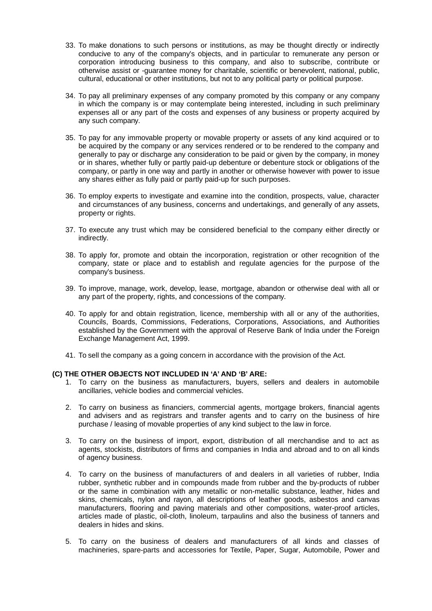- 33. To make donations to such persons or institutions, as may be thought directly or indirectly conducive to any of the company's objects, and in particular to remunerate any person or corporation introducing business to this company, and also to subscribe, contribute or otherwise assist or -guarantee money for charitable, scientific or benevolent, national, public, cultural, educational or other institutions, but not to any political party or political purpose.
- 34. To pay all preliminary expenses of any company promoted by this company or any company in which the company is or may contemplate being interested, including in such preliminary expenses all or any part of the costs and expenses of any business or property acquired by any such company.
- 35. To pay for any immovable property or movable property or assets of any kind acquired or to be acquired by the company or any services rendered or to be rendered to the company and generally to pay or discharge any consideration to be paid or given by the company, in money or in shares, whether fully or partly paid-up debenture or debenture stock or obligations of the company, or partly in one way and partly in another or otherwise however with power to issue any shares either as fully paid or partly paid-up for such purposes.
- 36. To employ experts to investigate and examine into the condition, prospects, value, character and circumstances of any business, concerns and undertakings, and generally of any assets, property or rights.
- 37. To execute any trust which may be considered beneficial to the company either directly or indirectly.
- 38. To apply for, promote and obtain the incorporation, registration or other recognition of the company, state or place and to establish and regulate agencies for the purpose of the company's business.
- 39. To improve, manage, work, develop, lease, mortgage, abandon or otherwise deal with all or any part of the property, rights, and concessions of the company.
- 40. To apply for and obtain registration, licence, membership with all or any of the authorities, Councils, Boards, Commissions, Federations, Corporations, Associations, and Authorities established by the Government with the approval of Reserve Bank of India under the Foreign Exchange Management Act, 1999.
- 41. To sell the company as a going concern in accordance with the provision of the Act.

#### **(C) THE OTHER OBJECTS NOT INCLUDED IN 'A' AND 'B' ARE:**

- 1. To carry on the business as manufacturers, buyers, sellers and dealers in automobile ancillaries, vehicle bodies and commercial vehicles.
- 2. To carry on business as financiers, commercial agents, mortgage brokers, financial agents and advisers and as registrars and transfer agents and to carry on the business of hire purchase / leasing of movable properties of any kind subject to the law in force.
- 3. To carry on the business of import, export, distribution of all merchandise and to act as agents, stockists, distributors of firms and companies in India and abroad and to on all kinds of agency business.
- 4. To carry on the business of manufacturers of and dealers in all varieties of rubber, India rubber, synthetic rubber and in compounds made from rubber and the by-products of rubber or the same in combination with any metallic or non-metallic substance, leather, hides and skins, chemicals, nylon and rayon, all descriptions of leather goods, asbestos and canvas manufacturers, flooring and paving materials and other compositions, water-proof articles, articles made of plastic, oil-cloth, linoleum, tarpaulins and also the business of tanners and dealers in hides and skins.
- 5. To carry on the business of dealers and manufacturers of all kinds and classes of machineries, spare-parts and accessories for Textile, Paper, Sugar, Automobile, Power and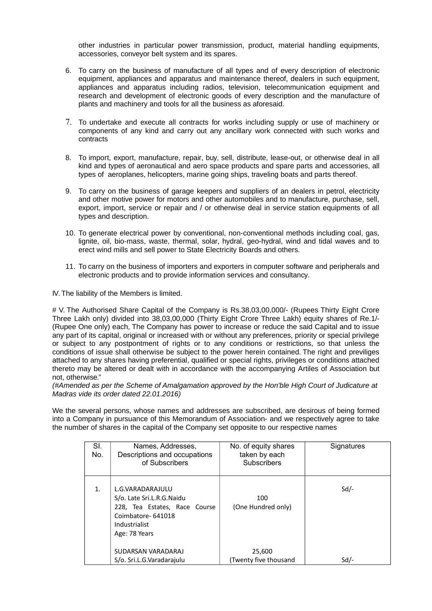other industries in particular power transmission, product, material handling equipments, accessories, conveyor belt system and its spares.

- 6. To carry on the business of manufacture of all types and of every description of electronic equipment, appliances and apparatus and maintenance thereof, dealers in such equipment, appliances and apparatus including radios, television, telecommunication equipment and research and development of electronic goods of every description and the manufacture of plants and machinery and tools for all the business as aforesaid.
- 7. To undertake and execute all contracts for works including supply or use of machinery or components of any kind and carry out any ancillary work connected with such works and contracts
- 8. To import, export, manufacture, repair, buy, sell, distribute, lease-out, or otherwise deal in all kind and types of aeronautical and aero space products and spare parts and accessories, all types of aeroplanes, helicopters, marine going ships, traveling boats and parts thereof.
- 9. To carry on the business of garage keepers and suppliers of an dealers in petrol, electricity and other motive power for motors and other automobiles and to manufacture, purchase, sell, export, import, service or repair and / or otherwise deal in service station equipments of all types and description.
- 10. To generate electrical power by conventional, non-conventional methods including coal, gas, lignite, oil, bio-mass, waste, thermal, solar, hydral, geo-hydral, wind and tidal waves and to erect wind mills and sell power to State Electricity Boards and others.
- 11. To carry on the business of importers and exporters in computer software and peripherals and electronic products and to provide information services and consultancy.

IV. The liability of the Members is limited.

# V. The Authorised Share Capital of the Company is Rs.38,03,00,000/- (Rupees Thirty Eight Crore Three Lakh only) divided into 38,03,00,000 (Thirty Eight Crore Three Lakh) equity shares of Re.1/- (Rupee One only) each, The Company has power to increase or reduce the said Capital and to issue any part of its capital, original or increased with or without any preferences, priority or special privilege or subject to any postpontment of rights or to any conditions or restrictions, so that unless the conditions of issue shall otherwise be subject to the power herein contained. The right and previliges attached to any shares having preferential, qualified or special rights, privileges or conditions attached thereto may be altered or dealt with in accordance with the accompanying Artiles of Association but not, otherwise."

(#Amended as per the Scheme of Amalgamation approved by the Hon'ble High Court of Judicature at Madras vide its order dated 22.01.2016)

We the several persons, whose names and addresses are subscribed, are desirous of being formed into a Company in pursuance of this Memorandum of Association- and we respectively agree to take the number of shares in the capital of the Company set opposite to our respective names

| SI.<br>No. | Names, Addresses,<br>Descriptions and occupations<br>of Subscribers                                                                   | No. of equity shares<br>taken by each<br><b>Subscribers</b> | Signatures |
|------------|---------------------------------------------------------------------------------------------------------------------------------------|-------------------------------------------------------------|------------|
| 1.         | L.G.VARADARAJULU<br>S/o. Late Sri.L.R.G.Naidu<br>228, Tea Estates, Race Course<br>Coimbatore-641018<br>Industrialist<br>Age: 78 Years | 100<br>(One Hundred only)                                   | $Sd$ /-    |
|            | SUDARSAN VARADARAJ<br>S/o. Sri.L.G. Varadarajulu                                                                                      | 25,600<br>(Twenty five thousand                             | $Sd$ /-    |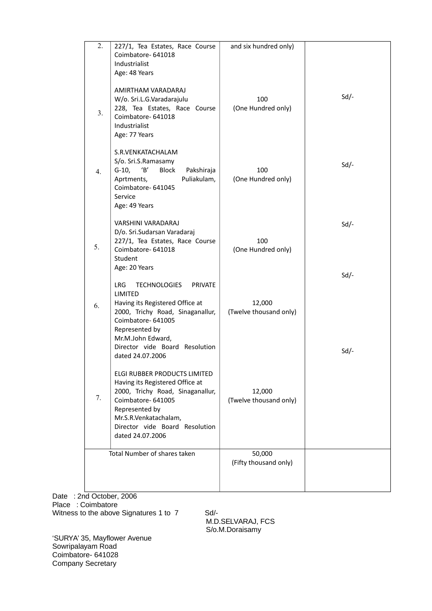| 2.                           | 227/1, Tea Estates, Race Course<br>Coimbatore-641018<br>Industrialist<br>Age: 48 Years                                                                                                                                                             | and six hundred only)            |              |
|------------------------------|----------------------------------------------------------------------------------------------------------------------------------------------------------------------------------------------------------------------------------------------------|----------------------------------|--------------|
| 3 <sub>1</sub>               | AMIRTHAM VARADARAJ<br>W/o. Sri.L.G.Varadarajulu<br>228, Tea Estates, Race Course<br>Coimbatore-641018<br>Industrialist<br>Age: 77 Years                                                                                                            | 100<br>(One Hundred only)        | $Sd$ -       |
| 4.                           | S.R.VENKATACHALAM<br>S/o. Sri.S.Ramasamy<br>$G-10,$<br>'B'<br>Block<br>Pakshiraja<br>Puliakulam,<br>Aprtments,<br>Coimbatore- 641045<br>Service<br>Age: 49 Years                                                                                   | 100<br>(One Hundred only)        | $Sd$ -       |
| 5.                           | VARSHINI VARADARAJ<br>D/o. Sri.Sudarsan Varadaraj<br>227/1, Tea Estates, Race Course<br>Coimbatore- 641018<br>Student<br>Age: 20 Years                                                                                                             | 100<br>(One Hundred only)        | $Sd$ -       |
| 6.                           | LRG.<br><b>TECHNOLOGIES</b><br><b>PRIVATE</b><br>LIMITED<br>Having its Registered Office at<br>2000, Trichy Road, Sinaganallur,<br>Coimbatore- 641005<br>Represented by<br>Mr.M.John Edward,<br>Director vide Board Resolution<br>dated 24.07.2006 | 12,000<br>(Twelve thousand only) | $Sd$ -<br>Sd |
| 7.                           | ELGI RUBBER PRODUCTS LIMITED<br>Having its Registered Office at<br>2000, Trichy Road, Sinaganallur,<br>Coimbatore-641005<br>Represented by<br>Mr.S.R.Venkatachalam,<br>Director vide Board Resolution<br>dated 24.07.2006                          | 12,000<br>(Twelve thousand only) |              |
| Total Number of shares taken |                                                                                                                                                                                                                                                    | 50,000<br>(Fifty thousand only)  |              |
|                              |                                                                                                                                                                                                                                                    |                                  |              |

Date: 2nd October, 2006 Place : Coimbatore Witness to the above Signatures 1 to 7 Sd/-

 M.D.SELVARAJ, FCS S/o.M.Doraisamy

'SURYA' 35, Mayflower Avenue Sowripalayam Road Coimbatore- 641028 Company Secretary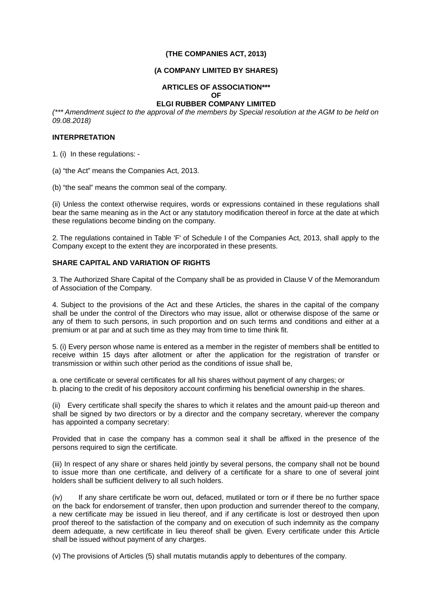## **(THE COMPANIES ACT, 2013)**

## **(A COMPANY LIMITED BY SHARES)**

# **ARTICLES OF ASSOCIATION\*\*\* OF**

## **ELGI RUBBER COMPANY LIMITED**

(\*\*\* Amendment suject to the approval of the members by Special resolution at the AGM to be held on 09.08.2018)

#### **INTERPRETATION**

1. (i) In these regulations: -

(a) "the Act" means the Companies Act, 2013.

(b) "the seal" means the common seal of the company.

(ii) Unless the context otherwise requires, words or expressions contained in these regulations shall bear the same meaning as in the Act or any statutory modification thereof in force at the date at which these regulations become binding on the company.

2. The regulations contained in Table 'F' of Schedule I of the Companies Act, 2013, shall apply to the Company except to the extent they are incorporated in these presents.

## **SHARE CAPITAL AND VARIATION OF RIGHTS**

3. The Authorized Share Capital of the Company shall be as provided in Clause V of the Memorandum of Association of the Company.

4. Subject to the provisions of the Act and these Articles, the shares in the capital of the company shall be under the control of the Directors who may issue, allot or otherwise dispose of the same or any of them to such persons, in such proportion and on such terms and conditions and either at a premium or at par and at such time as they may from time to time think fit.

5. (i) Every person whose name is entered as a member in the register of members shall be entitled to receive within 15 days after allotment or after the application for the registration of transfer or transmission or within such other period as the conditions of issue shall be,

a. one certificate or several certificates for all his shares without payment of any charges; or b. placing to the credit of his depository account confirming his beneficial ownership in the shares.

(ii) Every certificate shall specify the shares to which it relates and the amount paid-up thereon and shall be signed by two directors or by a director and the company secretary, wherever the company has appointed a company secretary:

Provided that in case the company has a common seal it shall be affixed in the presence of the persons required to sign the certificate.

(iii) In respect of any share or shares held jointly by several persons, the company shall not be bound to issue more than one certificate, and delivery of a certificate for a share to one of several joint holders shall be sufficient delivery to all such holders.

(iv) If any share certificate be worn out, defaced, mutilated or torn or if there be no further space on the back for endorsement of transfer, then upon production and surrender thereof to the company, a new certificate may be issued in lieu thereof, and if any certificate is lost or destroyed then upon proof thereof to the satisfaction of the company and on execution of such indemnity as the company deem adequate, a new certificate in lieu thereof shall be given. Every certificate under this Article shall be issued without payment of any charges.

(v) The provisions of Articles (5) shall mutatis mutandis apply to debentures of the company.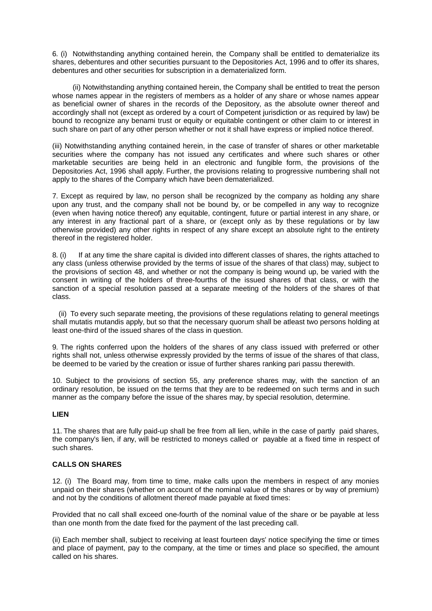6. (i) Notwithstanding anything contained herein, the Company shall be entitled to dematerialize its shares, debentures and other securities pursuant to the Depositories Act, 1996 and to offer its shares, debentures and other securities for subscription in a dematerialized form.

 (ii) Notwithstanding anything contained herein, the Company shall be entitled to treat the person whose names appear in the registers of members as a holder of any share or whose names appear as beneficial owner of shares in the records of the Depository, as the absolute owner thereof and accordingly shall not (except as ordered by a court of Competent jurisdiction or as required by law) be bound to recognize any benami trust or equity or equitable contingent or other claim to or interest in such share on part of any other person whether or not it shall have express or implied notice thereof.

(iii) Notwithstanding anything contained herein, in the case of transfer of shares or other marketable securities where the company has not issued any certificates and where such shares or other marketable securities are being held in an electronic and fungible form, the provisions of the Depositories Act, 1996 shall apply. Further, the provisions relating to progressive numbering shall not apply to the shares of the Company which have been dematerialized.

7. Except as required by law, no person shall be recognized by the company as holding any share upon any trust, and the company shall not be bound by, or be compelled in any way to recognize (even when having notice thereof) any equitable, contingent, future or partial interest in any share, or any interest in any fractional part of a share, or (except only as by these regulations or by law otherwise provided) any other rights in respect of any share except an absolute right to the entirety thereof in the registered holder.

8. (i) If at any time the share capital is divided into different classes of shares, the rights attached to any class (unless otherwise provided by the terms of issue of the shares of that class) may, subject to the provisions of section 48, and whether or not the company is being wound up, be varied with the consent in writing of the holders of three-fourths of the issued shares of that class, or with the sanction of a special resolution passed at a separate meeting of the holders of the shares of that class.

 (ii) To every such separate meeting, the provisions of these regulations relating to general meetings shall mutatis mutandis apply, but so that the necessary quorum shall be atleast two persons holding at least one-third of the issued shares of the class in question.

9. The rights conferred upon the holders of the shares of any class issued with preferred or other rights shall not, unless otherwise expressly provided by the terms of issue of the shares of that class, be deemed to be varied by the creation or issue of further shares ranking pari passu therewith.

10. Subject to the provisions of section 55, any preference shares may, with the sanction of an ordinary resolution, be issued on the terms that they are to be redeemed on such terms and in such manner as the company before the issue of the shares may, by special resolution, determine.

## **LIEN**

11. The shares that are fully paid-up shall be free from all lien, while in the case of partly paid shares, the company's lien, if any, will be restricted to moneys called or payable at a fixed time in respect of such shares.

## **CALLS ON SHARES**

12. (i) The Board may, from time to time, make calls upon the members in respect of any monies unpaid on their shares (whether on account of the nominal value of the shares or by way of premium) and not by the conditions of allotment thereof made payable at fixed times:

Provided that no call shall exceed one-fourth of the nominal value of the share or be payable at less than one month from the date fixed for the payment of the last preceding call.

(ii) Each member shall, subject to receiving at least fourteen days' notice specifying the time or times and place of payment, pay to the company, at the time or times and place so specified, the amount called on his shares.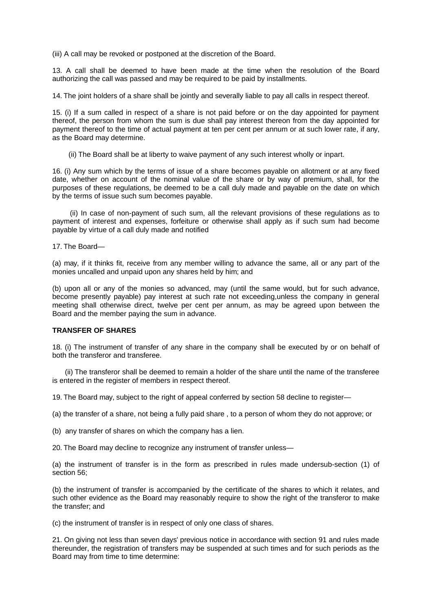(iii) A call may be revoked or postponed at the discretion of the Board.

13. A call shall be deemed to have been made at the time when the resolution of the Board authorizing the call was passed and may be required to be paid by installments.

14. The joint holders of a share shall be jointly and severally liable to pay all calls in respect thereof.

15. (i) If a sum called in respect of a share is not paid before or on the day appointed for payment thereof, the person from whom the sum is due shall pay interest thereon from the day appointed for payment thereof to the time of actual payment at ten per cent per annum or at such lower rate, if any, as the Board may determine.

(ii) The Board shall be at liberty to waive payment of any such interest wholly or inpart.

16. (i) Any sum which by the terms of issue of a share becomes payable on allotment or at any fixed date, whether on account of the nominal value of the share or by way of premium, shall, for the purposes of these regulations, be deemed to be a call duly made and payable on the date on which by the terms of issue such sum becomes payable.

 (ii) In case of non-payment of such sum, all the relevant provisions of these regulations as to payment of interest and expenses, forfeiture or otherwise shall apply as if such sum had become payable by virtue of a call duly made and notified

17. The Board—

(a) may, if it thinks fit, receive from any member willing to advance the same, all or any part of the monies uncalled and unpaid upon any shares held by him; and

(b) upon all or any of the monies so advanced, may (until the same would, but for such advance, become presently payable) pay interest at such rate not exceeding,unless the company in general meeting shall otherwise direct, twelve per cent per annum, as may be agreed upon between the Board and the member paying the sum in advance.

## **TRANSFER OF SHARES**

18. (i) The instrument of transfer of any share in the company shall be executed by or on behalf of both the transferor and transferee.

 (ii) The transferor shall be deemed to remain a holder of the share until the name of the transferee is entered in the register of members in respect thereof.

19. The Board may, subject to the right of appeal conferred by section 58 decline to register—

(a) the transfer of a share, not being a fully paid share , to a person of whom they do not approve; or

(b) any transfer of shares on which the company has a lien.

20. The Board may decline to recognize any instrument of transfer unless—

(a) the instrument of transfer is in the form as prescribed in rules made undersub-section (1) of section 56:

(b) the instrument of transfer is accompanied by the certificate of the shares to which it relates, and such other evidence as the Board may reasonably require to show the right of the transferor to make the transfer; and

(c) the instrument of transfer is in respect of only one class of shares.

21. On giving not less than seven days' previous notice in accordance with section 91 and rules made thereunder, the registration of transfers may be suspended at such times and for such periods as the Board may from time to time determine: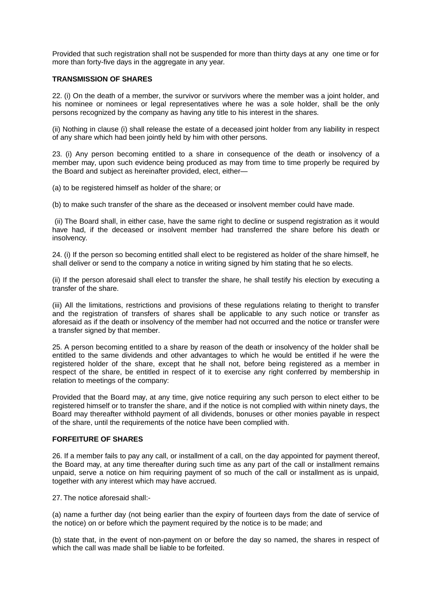Provided that such registration shall not be suspended for more than thirty days at any one time or for more than forty-five days in the aggregate in any year.

#### **TRANSMISSION OF SHARES**

22. (i) On the death of a member, the survivor or survivors where the member was a joint holder, and his nominee or nominees or legal representatives where he was a sole holder, shall be the only persons recognized by the company as having any title to his interest in the shares.

(ii) Nothing in clause (i) shall release the estate of a deceased joint holder from any liability in respect of any share which had been jointly held by him with other persons.

23. (i) Any person becoming entitled to a share in consequence of the death or insolvency of a member may, upon such evidence being produced as may from time to time properly be required by the Board and subject as hereinafter provided, elect, either—

(a) to be registered himself as holder of the share; or

(b) to make such transfer of the share as the deceased or insolvent member could have made.

(ii) The Board shall, in either case, have the same right to decline or suspend registration as it would have had, if the deceased or insolvent member had transferred the share before his death or insolvency.

24. (i) If the person so becoming entitled shall elect to be registered as holder of the share himself, he shall deliver or send to the company a notice in writing signed by him stating that he so elects.

(ii) If the person aforesaid shall elect to transfer the share, he shall testify his election by executing a transfer of the share.

(iii) All the limitations, restrictions and provisions of these regulations relating to theright to transfer and the registration of transfers of shares shall be applicable to any such notice or transfer as aforesaid as if the death or insolvency of the member had not occurred and the notice or transfer were a transfer signed by that member.

25. A person becoming entitled to a share by reason of the death or insolvency of the holder shall be entitled to the same dividends and other advantages to which he would be entitled if he were the registered holder of the share, except that he shall not, before being registered as a member in respect of the share, be entitled in respect of it to exercise any right conferred by membership in relation to meetings of the company:

Provided that the Board may, at any time, give notice requiring any such person to elect either to be registered himself or to transfer the share, and if the notice is not complied with within ninety days, the Board may thereafter withhold payment of all dividends, bonuses or other monies payable in respect of the share, until the requirements of the notice have been complied with.

#### **FORFEITURE OF SHARES**

26. If a member fails to pay any call, or installment of a call, on the day appointed for payment thereof, the Board may, at any time thereafter during such time as any part of the call or installment remains unpaid, serve a notice on him requiring payment of so much of the call or installment as is unpaid, together with any interest which may have accrued.

27. The notice aforesaid shall:-

(a) name a further day (not being earlier than the expiry of fourteen days from the date of service of the notice) on or before which the payment required by the notice is to be made; and

(b) state that, in the event of non-payment on or before the day so named, the shares in respect of which the call was made shall be liable to be forfeited.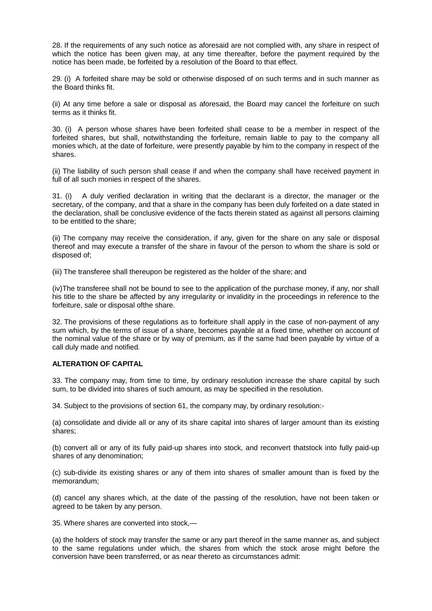28. If the requirements of any such notice as aforesaid are not complied with, any share in respect of which the notice has been given may, at any time thereafter, before the payment required by the notice has been made, be forfeited by a resolution of the Board to that effect.

29. (i) A forfeited share may be sold or otherwise disposed of on such terms and in such manner as the Board thinks fit.

(ii) At any time before a sale or disposal as aforesaid, the Board may cancel the forfeiture on such terms as it thinks fit.

30. (i) A person whose shares have been forfeited shall cease to be a member in respect of the forfeited shares, but shall, notwithstanding the forfeiture, remain liable to pay to the company all monies which, at the date of forfeiture, were presently payable by him to the company in respect of the shares.

(ii) The liability of such person shall cease if and when the company shall have received payment in full of all such monies in respect of the shares.

31. (i) A duly verified declaration in writing that the declarant is a director, the manager or the secretary, of the company, and that a share in the company has been duly forfeited on a date stated in the declaration, shall be conclusive evidence of the facts therein stated as against all persons claiming to be entitled to the share;

(ii) The company may receive the consideration, if any, given for the share on any sale or disposal thereof and may execute a transfer of the share in favour of the person to whom the share is sold or disposed of;

(iii) The transferee shall thereupon be registered as the holder of the share; and

(iv)The transferee shall not be bound to see to the application of the purchase money, if any, nor shall his title to the share be affected by any irregularity or invalidity in the proceedings in reference to the forfeiture, sale or disposal ofthe share.

32. The provisions of these regulations as to forfeiture shall apply in the case of non-payment of any sum which, by the terms of issue of a share, becomes payable at a fixed time, whether on account of the nominal value of the share or by way of premium, as if the same had been payable by virtue of a call duly made and notified.

### **ALTERATION OF CAPITAL**

33. The company may, from time to time, by ordinary resolution increase the share capital by such sum, to be divided into shares of such amount, as may be specified in the resolution.

34. Subject to the provisions of section 61, the company may, by ordinary resolution:-

(a) consolidate and divide all or any of its share capital into shares of larger amount than its existing shares;

(b) convert all or any of its fully paid-up shares into stock, and reconvert thatstock into fully paid-up shares of any denomination;

(c) sub-divide its existing shares or any of them into shares of smaller amount than is fixed by the memorandum;

(d) cancel any shares which, at the date of the passing of the resolution, have not been taken or agreed to be taken by any person.

35. Where shares are converted into stock,—

(a) the holders of stock may transfer the same or any part thereof in the same manner as, and subject to the same regulations under which, the shares from which the stock arose might before the conversion have been transferred, or as near thereto as circumstances admit: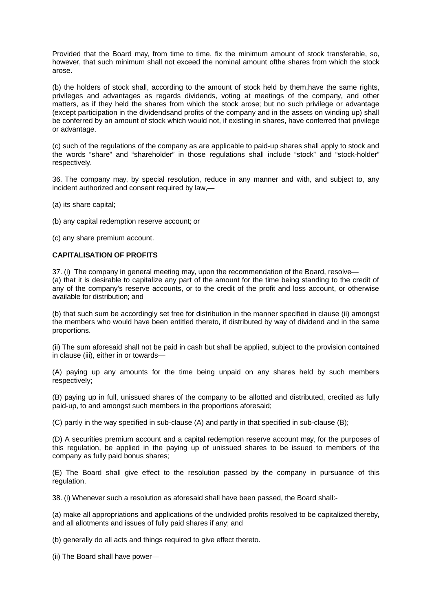Provided that the Board may, from time to time, fix the minimum amount of stock transferable, so, however, that such minimum shall not exceed the nominal amount ofthe shares from which the stock arose.

(b) the holders of stock shall, according to the amount of stock held by them,have the same rights, privileges and advantages as regards dividends, voting at meetings of the company, and other matters, as if they held the shares from which the stock arose; but no such privilege or advantage (except participation in the dividendsand profits of the company and in the assets on winding up) shall be conferred by an amount of stock which would not, if existing in shares, have conferred that privilege or advantage.

(c) such of the regulations of the company as are applicable to paid-up shares shall apply to stock and the words "share" and "shareholder" in those regulations shall include "stock" and "stock-holder" respectively.

36. The company may, by special resolution, reduce in any manner and with, and subject to, any incident authorized and consent required by law,—

(a) its share capital;

(b) any capital redemption reserve account; or

(c) any share premium account.

#### **CAPITALISATION OF PROFITS**

37. (i) The company in general meeting may, upon the recommendation of the Board, resolve— (a) that it is desirable to capitalize any part of the amount for the time being standing to the credit of any of the company's reserve accounts, or to the credit of the profit and loss account, or otherwise available for distribution; and

(b) that such sum be accordingly set free for distribution in the manner specified in clause (ii) amongst the members who would have been entitled thereto, if distributed by way of dividend and in the same proportions.

(ii) The sum aforesaid shall not be paid in cash but shall be applied, subject to the provision contained in clause (iii), either in or towards—

(A) paying up any amounts for the time being unpaid on any shares held by such members respectively;

(B) paying up in full, unissued shares of the company to be allotted and distributed, credited as fully paid-up, to and amongst such members in the proportions aforesaid;

(C) partly in the way specified in sub-clause (A) and partly in that specified in sub-clause (B);

(D) A securities premium account and a capital redemption reserve account may, for the purposes of this regulation, be applied in the paying up of unissued shares to be issued to members of the company as fully paid bonus shares;

(E) The Board shall give effect to the resolution passed by the company in pursuance of this regulation.

38. (i) Whenever such a resolution as aforesaid shall have been passed, the Board shall:-

(a) make all appropriations and applications of the undivided profits resolved to be capitalized thereby, and all allotments and issues of fully paid shares if any; and

(b) generally do all acts and things required to give effect thereto.

(ii) The Board shall have power—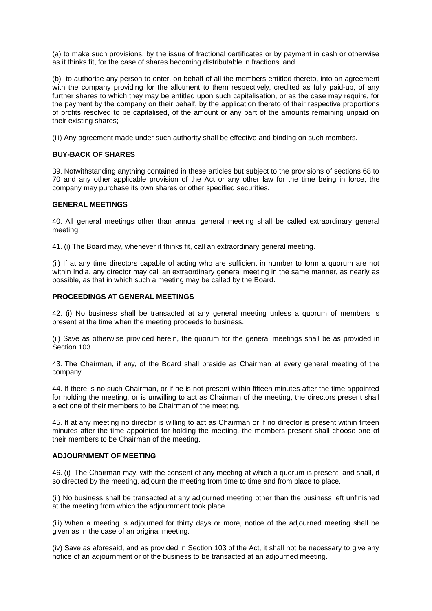(a) to make such provisions, by the issue of fractional certificates or by payment in cash or otherwise as it thinks fit, for the case of shares becoming distributable in fractions; and

(b) to authorise any person to enter, on behalf of all the members entitled thereto, into an agreement with the company providing for the allotment to them respectively, credited as fully paid-up, of any further shares to which they may be entitled upon such capitalisation, or as the case may require, for the payment by the company on their behalf, by the application thereto of their respective proportions of profits resolved to be capitalised, of the amount or any part of the amounts remaining unpaid on their existing shares;

(iii) Any agreement made under such authority shall be effective and binding on such members.

#### **BUY-BACK OF SHARES**

39. Notwithstanding anything contained in these articles but subject to the provisions of sections 68 to 70 and any other applicable provision of the Act or any other law for the time being in force, the company may purchase its own shares or other specified securities.

### **GENERAL MEETINGS**

40. All general meetings other than annual general meeting shall be called extraordinary general meeting.

41. (i) The Board may, whenever it thinks fit, call an extraordinary general meeting.

(ii) If at any time directors capable of acting who are sufficient in number to form a quorum are not within India, any director may call an extraordinary general meeting in the same manner, as nearly as possible, as that in which such a meeting may be called by the Board.

#### **PROCEEDINGS AT GENERAL MEETINGS**

42. (i) No business shall be transacted at any general meeting unless a quorum of members is present at the time when the meeting proceeds to business.

(ii) Save as otherwise provided herein, the quorum for the general meetings shall be as provided in Section 103

43. The Chairman, if any, of the Board shall preside as Chairman at every general meeting of the company.

44. If there is no such Chairman, or if he is not present within fifteen minutes after the time appointed for holding the meeting, or is unwilling to act as Chairman of the meeting, the directors present shall elect one of their members to be Chairman of the meeting.

45. If at any meeting no director is willing to act as Chairman or if no director is present within fifteen minutes after the time appointed for holding the meeting, the members present shall choose one of their members to be Chairman of the meeting.

## **ADJOURNMENT OF MEETING**

46. (i) The Chairman may, with the consent of any meeting at which a quorum is present, and shall, if so directed by the meeting, adjourn the meeting from time to time and from place to place.

(ii) No business shall be transacted at any adjourned meeting other than the business left unfinished at the meeting from which the adjournment took place.

(iii) When a meeting is adjourned for thirty days or more, notice of the adjourned meeting shall be given as in the case of an original meeting.

(iv) Save as aforesaid, and as provided in Section 103 of the Act, it shall not be necessary to give any notice of an adjournment or of the business to be transacted at an adjourned meeting.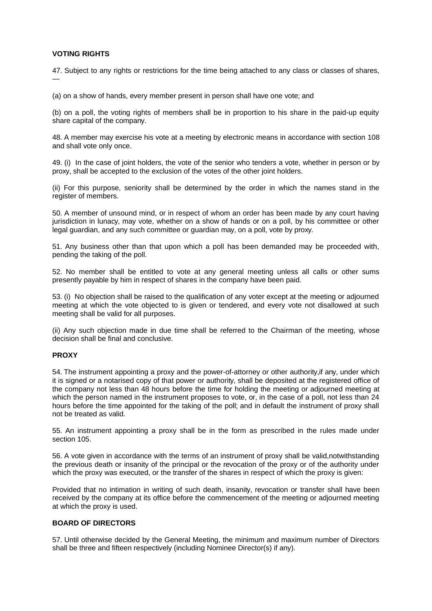## **VOTING RIGHTS**

47. Subject to any rights or restrictions for the time being attached to any class or classes of shares, —

(a) on a show of hands, every member present in person shall have one vote; and

(b) on a poll, the voting rights of members shall be in proportion to his share in the paid-up equity share capital of the company.

48. A member may exercise his vote at a meeting by electronic means in accordance with section 108 and shall vote only once.

49. (i) In the case of joint holders, the vote of the senior who tenders a vote, whether in person or by proxy, shall be accepted to the exclusion of the votes of the other joint holders.

(ii) For this purpose, seniority shall be determined by the order in which the names stand in the register of members.

50. A member of unsound mind, or in respect of whom an order has been made by any court having jurisdiction in lunacy, may vote, whether on a show of hands or on a poll, by his committee or other legal guardian, and any such committee or guardian may, on a poll, vote by proxy.

51. Any business other than that upon which a poll has been demanded may be proceeded with, pending the taking of the poll.

52. No member shall be entitled to vote at any general meeting unless all calls or other sums presently payable by him in respect of shares in the company have been paid.

53. (i) No objection shall be raised to the qualification of any voter except at the meeting or adjourned meeting at which the vote objected to is given or tendered, and every vote not disallowed at such meeting shall be valid for all purposes.

(ii) Any such objection made in due time shall be referred to the Chairman of the meeting, whose decision shall be final and conclusive.

## **PROXY**

54. The instrument appointing a proxy and the power-of-attorney or other authority,if any, under which it is signed or a notarised copy of that power or authority, shall be deposited at the registered office of the company not less than 48 hours before the time for holding the meeting or adjourned meeting at which the person named in the instrument proposes to vote, or, in the case of a poll, not less than 24 hours before the time appointed for the taking of the poll; and in default the instrument of proxy shall not be treated as valid.

55. An instrument appointing a proxy shall be in the form as prescribed in the rules made under section 105.

56. A vote given in accordance with the terms of an instrument of proxy shall be valid,notwithstanding the previous death or insanity of the principal or the revocation of the proxy or of the authority under which the proxy was executed, or the transfer of the shares in respect of which the proxy is given:

Provided that no intimation in writing of such death, insanity, revocation or transfer shall have been received by the company at its office before the commencement of the meeting or adjourned meeting at which the proxy is used.

## **BOARD OF DIRECTORS**

57. Until otherwise decided by the General Meeting, the minimum and maximum number of Directors shall be three and fifteen respectively (including Nominee Director(s) if any).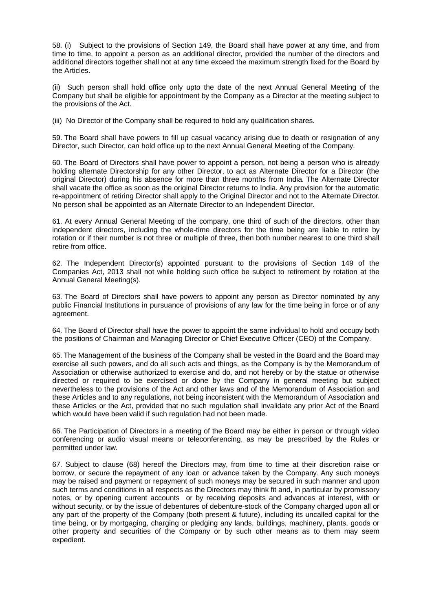58. (i) Subject to the provisions of Section 149, the Board shall have power at any time, and from time to time, to appoint a person as an additional director, provided the number of the directors and additional directors together shall not at any time exceed the maximum strength fixed for the Board by the Articles.

(ii) Such person shall hold office only upto the date of the next Annual General Meeting of the Company but shall be eligible for appointment by the Company as a Director at the meeting subject to the provisions of the Act.

(iii) No Director of the Company shall be required to hold any qualification shares.

59. The Board shall have powers to fill up casual vacancy arising due to death or resignation of any Director, such Director, can hold office up to the next Annual General Meeting of the Company.

60. The Board of Directors shall have power to appoint a person, not being a person who is already holding alternate Directorship for any other Director, to act as Alternate Director for a Director (the original Director) during his absence for more than three months from India. The Alternate Director shall vacate the office as soon as the original Director returns to India. Any provision for the automatic re-appointment of retiring Director shall apply to the Original Director and not to the Alternate Director. No person shall be appointed as an Alternate Director to an Independent Director.

61. At every Annual General Meeting of the company, one third of such of the directors, other than independent directors, including the whole-time directors for the time being are liable to retire by rotation or if their number is not three or multiple of three, then both number nearest to one third shall retire from office.

62. The Independent Director(s) appointed pursuant to the provisions of Section 149 of the Companies Act, 2013 shall not while holding such office be subject to retirement by rotation at the Annual General Meeting(s).

63. The Board of Directors shall have powers to appoint any person as Director nominated by any public Financial Institutions in pursuance of provisions of any law for the time being in force or of any agreement.

64. The Board of Director shall have the power to appoint the same individual to hold and occupy both the positions of Chairman and Managing Director or Chief Executive Officer (CEO) of the Company.

65. The Management of the business of the Company shall be vested in the Board and the Board may exercise all such powers, and do all such acts and things, as the Company is by the Memorandum of Association or otherwise authorized to exercise and do, and not hereby or by the statue or otherwise directed or required to be exercised or done by the Company in general meeting but subject nevertheless to the provisions of the Act and other laws and of the Memorandum of Association and these Articles and to any regulations, not being inconsistent with the Memorandum of Association and these Articles or the Act, provided that no such regulation shall invalidate any prior Act of the Board which would have been valid if such regulation had not been made.

66. The Participation of Directors in a meeting of the Board may be either in person or through video conferencing or audio visual means or teleconferencing, as may be prescribed by the Rules or permitted under law.

67. Subject to clause (68) hereof the Directors may, from time to time at their discretion raise or borrow, or secure the repayment of any loan or advance taken by the Company. Any such moneys may be raised and payment or repayment of such moneys may be secured in such manner and upon such terms and conditions in all respects as the Directors may think fit and, in particular by promissory notes, or by opening current accounts or by receiving deposits and advances at interest, with or without security, or by the issue of debentures of debenture-stock of the Company charged upon all or any part of the property of the Company (both present & future), including its uncalled capital for the time being, or by mortgaging, charging or pledging any lands, buildings, machinery, plants, goods or other property and securities of the Company or by such other means as to them may seem expedient.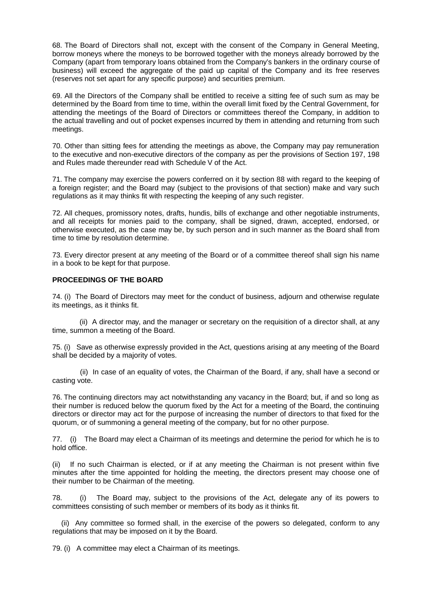68. The Board of Directors shall not, except with the consent of the Company in General Meeting, borrow moneys where the moneys to be borrowed together with the moneys already borrowed by the Company (apart from temporary loans obtained from the Company's bankers in the ordinary course of business) will exceed the aggregate of the paid up capital of the Company and its free reserves (reserves not set apart for any specific purpose) and securities premium.

69. All the Directors of the Company shall be entitled to receive a sitting fee of such sum as may be determined by the Board from time to time, within the overall limit fixed by the Central Government, for attending the meetings of the Board of Directors or committees thereof the Company, in addition to the actual travelling and out of pocket expenses incurred by them in attending and returning from such meetings.

70. Other than sitting fees for attending the meetings as above, the Company may pay remuneration to the executive and non-executive directors of the company as per the provisions of Section 197, 198 and Rules made thereunder read with Schedule V of the Act.

71. The company may exercise the powers conferred on it by section 88 with regard to the keeping of a foreign register; and the Board may (subject to the provisions of that section) make and vary such regulations as it may thinks fit with respecting the keeping of any such register.

72. All cheques, promissory notes, drafts, hundis, bills of exchange and other negotiable instruments, and all receipts for monies paid to the company, shall be signed, drawn, accepted, endorsed, or otherwise executed, as the case may be, by such person and in such manner as the Board shall from time to time by resolution determine.

73. Every director present at any meeting of the Board or of a committee thereof shall sign his name in a book to be kept for that purpose.

#### **PROCEEDINGS OF THE BOARD**

74. (i) The Board of Directors may meet for the conduct of business, adjourn and otherwise regulate its meetings, as it thinks fit.

 (ii) A director may, and the manager or secretary on the requisition of a director shall, at any time, summon a meeting of the Board.

75. (i) Save as otherwise expressly provided in the Act, questions arising at any meeting of the Board shall be decided by a majority of votes.

 (ii) In case of an equality of votes, the Chairman of the Board, if any, shall have a second or casting vote.

76. The continuing directors may act notwithstanding any vacancy in the Board; but, if and so long as their number is reduced below the quorum fixed by the Act for a meeting of the Board, the continuing directors or director may act for the purpose of increasing the number of directors to that fixed for the quorum, or of summoning a general meeting of the company, but for no other purpose.

77. (i) The Board may elect a Chairman of its meetings and determine the period for which he is to hold office.

(ii) If no such Chairman is elected, or if at any meeting the Chairman is not present within five minutes after the time appointed for holding the meeting, the directors present may choose one of their number to be Chairman of the meeting.

78. (i) The Board may, subject to the provisions of the Act, delegate any of its powers to committees consisting of such member or members of its body as it thinks fit.

 (ii) Any committee so formed shall, in the exercise of the powers so delegated, conform to any regulations that may be imposed on it by the Board.

79. (i) A committee may elect a Chairman of its meetings.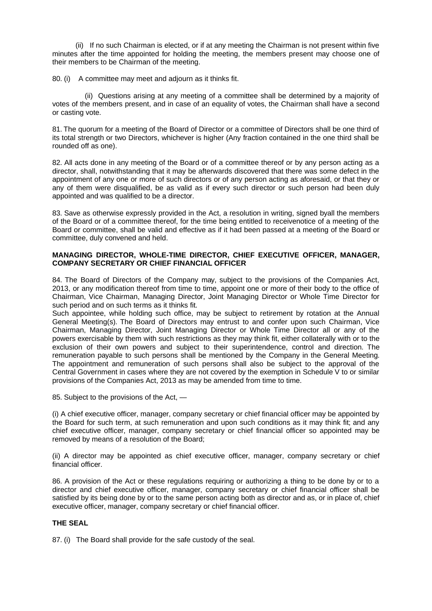(ii) If no such Chairman is elected, or if at any meeting the Chairman is not present within five minutes after the time appointed for holding the meeting, the members present may choose one of their members to be Chairman of the meeting.

80. (i) A committee may meet and adjourn as it thinks fit.

 (ii) Questions arising at any meeting of a committee shall be determined by a majority of votes of the members present, and in case of an equality of votes, the Chairman shall have a second or casting vote.

81. The quorum for a meeting of the Board of Director or a committee of Directors shall be one third of its total strength or two Directors, whichever is higher (Any fraction contained in the one third shall be rounded off as one).

82. All acts done in any meeting of the Board or of a committee thereof or by any person acting as a director, shall, notwithstanding that it may be afterwards discovered that there was some defect in the appointment of any one or more of such directors or of any person acting as aforesaid, or that they or any of them were disqualified, be as valid as if every such director or such person had been duly appointed and was qualified to be a director.

83. Save as otherwise expressly provided in the Act, a resolution in writing, signed byall the members of the Board or of a committee thereof, for the time being entitled to receivenotice of a meeting of the Board or committee, shall be valid and effective as if it had been passed at a meeting of the Board or committee, duly convened and held.

## **MANAGING DIRECTOR, WHOLE-TIME DIRECTOR, CHIEF EXECUTIVE OFFICER, MANAGER, COMPANY SECRETARY OR CHIEF FINANCIAL OFFICER**

84. The Board of Directors of the Company may, subject to the provisions of the Companies Act, 2013, or any modification thereof from time to time, appoint one or more of their body to the office of Chairman, Vice Chairman, Managing Director, Joint Managing Director or Whole Time Director for such period and on such terms as it thinks fit.

Such appointee, while holding such office, may be subject to retirement by rotation at the Annual General Meeting(s). The Board of Directors may entrust to and confer upon such Chairman, Vice Chairman, Managing Director, Joint Managing Director or Whole Time Director all or any of the powers exercisable by them with such restrictions as they may think fit, either collaterally with or to the exclusion of their own powers and subject to their superintendence, control and direction. The remuneration payable to such persons shall be mentioned by the Company in the General Meeting. The appointment and remuneration of such persons shall also be subject to the approval of the Central Government in cases where they are not covered by the exemption in Schedule V to or similar provisions of the Companies Act, 2013 as may be amended from time to time.

85. Subject to the provisions of the Act, —

(i) A chief executive officer, manager, company secretary or chief financial officer may be appointed by the Board for such term, at such remuneration and upon such conditions as it may think fit; and any chief executive officer, manager, company secretary or chief financial officer so appointed may be removed by means of a resolution of the Board;

(ii) A director may be appointed as chief executive officer, manager, company secretary or chief financial officer.

86. A provision of the Act or these regulations requiring or authorizing a thing to be done by or to a director and chief executive officer, manager, company secretary or chief financial officer shall be satisfied by its being done by or to the same person acting both as director and as, or in place of, chief executive officer, manager, company secretary or chief financial officer.

## **THE SEAL**

87. (i) The Board shall provide for the safe custody of the seal.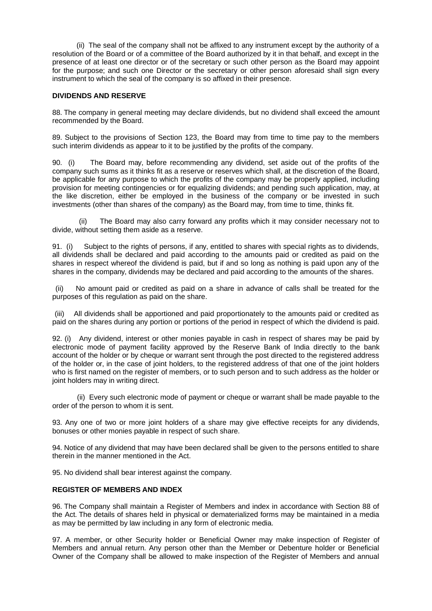(ii) The seal of the company shall not be affixed to any instrument except by the authority of a resolution of the Board or of a committee of the Board authorized by it in that behalf, and except in the presence of at least one director or of the secretary or such other person as the Board may appoint for the purpose; and such one Director or the secretary or other person aforesaid shall sign every instrument to which the seal of the company is so affixed in their presence.

## **DIVIDENDS AND RESERVE**

88. The company in general meeting may declare dividends, but no dividend shall exceed the amount recommended by the Board.

89. Subject to the provisions of Section 123, the Board may from time to time pay to the members such interim dividends as appear to it to be justified by the profits of the company.

90. (i) The Board may, before recommending any dividend, set aside out of the profits of the company such sums as it thinks fit as a reserve or reserves which shall, at the discretion of the Board, be applicable for any purpose to which the profits of the company may be properly applied, including provision for meeting contingencies or for equalizing dividends; and pending such application, may, at the like discretion, either be employed in the business of the company or be invested in such investments (other than shares of the company) as the Board may, from time to time, thinks fit.

 (ii) The Board may also carry forward any profits which it may consider necessary not to divide, without setting them aside as a reserve.

91. (i) Subject to the rights of persons, if any, entitled to shares with special rights as to dividends, all dividends shall be declared and paid according to the amounts paid or credited as paid on the shares in respect whereof the dividend is paid, but if and so long as nothing is paid upon any of the shares in the company, dividends may be declared and paid according to the amounts of the shares.

(ii) No amount paid or credited as paid on a share in advance of calls shall be treated for the purposes of this regulation as paid on the share.

(iii) All dividends shall be apportioned and paid proportionately to the amounts paid or credited as paid on the shares during any portion or portions of the period in respect of which the dividend is paid.

92. (i) Any dividend, interest or other monies payable in cash in respect of shares may be paid by electronic mode of payment facility approved by the Reserve Bank of India directly to the bank account of the holder or by cheque or warrant sent through the post directed to the registered address of the holder or, in the case of joint holders, to the registered address of that one of the joint holders who is first named on the register of members, or to such person and to such address as the holder or joint holders may in writing direct.

 (ii) Every such electronic mode of payment or cheque or warrant shall be made payable to the order of the person to whom it is sent.

93. Any one of two or more joint holders of a share may give effective receipts for any dividends, bonuses or other monies payable in respect of such share.

94. Notice of any dividend that may have been declared shall be given to the persons entitled to share therein in the manner mentioned in the Act.

95. No dividend shall bear interest against the company.

## **REGISTER OF MEMBERS AND INDEX**

96. The Company shall maintain a Register of Members and index in accordance with Section 88 of the Act. The details of shares held in physical or dematerialized forms may be maintained in a media as may be permitted by law including in any form of electronic media.

97. A member, or other Security holder or Beneficial Owner may make inspection of Register of Members and annual return. Any person other than the Member or Debenture holder or Beneficial Owner of the Company shall be allowed to make inspection of the Register of Members and annual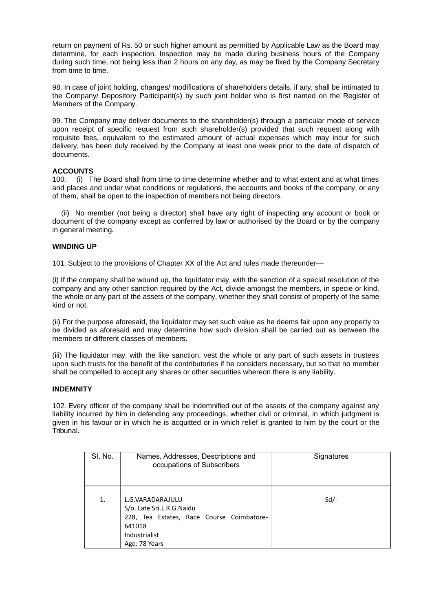return on payment of Rs. 50 or such higher amount as permitted by Applicable Law as the Board may determine, for each inspection. Inspection may be made during business hours of the Company during such time, not being less than 2 hours on any day, as may be fixed by the Company Secretary from time to time.

98. In case of joint holding, changes/ modifications of shareholders details, if any, shall be intimated to the Company/ Depository Participant(s) by such joint holder who is first named on the Register of Members of the Company.

99. The Company may deliver documents to the shareholder(s) through a particular mode of service upon receipt of specific request from such shareholder(s) provided that such request along with requisite fees, equivalent to the estimated amount of actual expenses which may incur for such delivery, has been duly received by the Company at least one week prior to the date of dispatch of documents.

## **ACCOUNTS**

100. (i) The Board shall from time to time determine whether and to what extent and at what times and places and under what conditions or regulations, the accounts and books of the company, or any of them, shall be open to the inspection of members not being directors.

 (ii) No member (not being a director) shall have any right of inspecting any account or book or document of the company except as conferred by law or authorised by the Board or by the company in general meeting.

#### **WINDING UP**

101. Subject to the provisions of Chapter XX of the Act and rules made thereunder—

(i) If the company shall be wound up, the liquidator may, with the sanction of a special resolution of the company and any other sanction required by the Act, divide amongst the members, in specie or kind, the whole or any part of the assets of the company, whether they shall consist of property of the same kind or not.

(ii) For the purpose aforesaid, the liquidator may set such value as he deems fair upon any property to be divided as aforesaid and may determine how such division shall be carried out as between the members or different classes of members.

(iii) The liquidator may, with the like sanction, vest the whole or any part of such assets in trustees upon such trusts for the benefit of the contributories if he considers necessary, but so that no member shall be compelled to accept any shares or other securities whereon there is any liability.

#### **INDEMNITY**

102. Every officer of the company shall be indemnified out of the assets of the company against any liability incurred by him in defending any proceedings, whether civil or criminal, in which judgment is given in his favour or in which he is acquitted or in which relief is granted to him by the court or the Tribunal.

| SI. No. | Names, Addresses, Descriptions and<br>occupations of Subscribers                                                                       | Signatures |
|---------|----------------------------------------------------------------------------------------------------------------------------------------|------------|
| 1.      | L.G.VARADARAJULU<br>S/o. Late Sri.L.R.G.Naidu<br>228, Tea Estates, Race Course Coimbatore-<br>641018<br>Industrialist<br>Age: 78 Years | $Sd$ /-    |